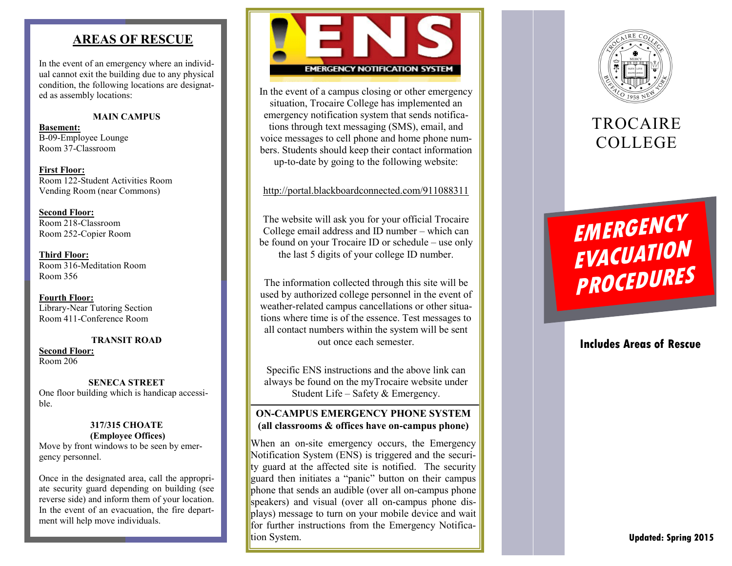# **AREAS OF RESCUE**

In the event of an emergency where an individual cannot exit the building due to any physical condition , the following locations are designated as assembly locations:

### **MAIN CAMPUS**

**Basement:** B-09-Employee Lounge Room 37 -Classroom

**First Floor:** Room 122 -Student Activities Room Vending Room (near Commons)

**Second Floor:** Room 218 -Classroom Room 252 -Copier Room

**Third Floor:** Room 316 -Meditation Room Room 356

**Fourth Floor:** Library -Near Tutoring Section Room 411 -Conference Room

### **TRANSIT ROAD**

**Second Floor:** Room 206

**SENECA STREET** One floor building which is handicap accessible.

### **317/315 CHOATE (Employee Offices)**

Move by front windows to be seen by emergency personnel.

Once in the designated area, call the appropriate security guard depending on building (see reverse side) and inform them of your location. In the event of an evacuation, the fire department will help move individuals.



In the event of a campus closing or other emergency situation, Trocaire College has implemented an emergency notification system that sends notifications through text messaging (SMS), email, and voice messages to cell phone and home phone numbers. Students should keep their contact information up -to -date by going to the following website:

# <http://portal.blackboardconnected.com/911088311>

The website will ask you for your official Trocaire College email address and ID number – which can be found on your Trocaire ID or schedule – use only the last 5 digits of your college ID number.

The information collected through this site will be used by authorized college personnel in the event of weather -related campus cancellations or other situations where time is of the essence. Test messages to all contact numbers within the system will be sent out once each semester.

Specific ENS instructions and the above link can always be found on the myTrocaire website under Student Life – Safety & Emergency.

# **ON -CAMPUS EMERGENCY PHONE SYSTEM (all classrooms & offices have on -campus phone)**

When an on -site emergency occurs, the Emergency Notification System (ENS) is triggered and the security guard at the affected site is notified. The security guard then initiates a "panic" button on their campus phone that sends an audible (over all on -campus phone speakers) and visual (over all on -campus phone displays) message to turn on your mobile device and wait for further instructions from the Emergency Notification System.



# **TROCAIRE** COLLEGE

# **EMERGENCY<br>
FVACUATION<br>
PROCEDURES**<br>
Includes Areas of Rescue

# **Includes Areas of Rescue**